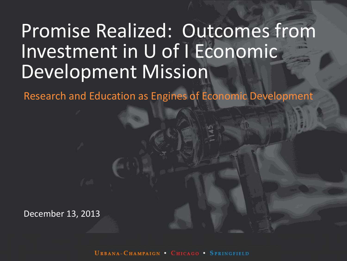### Promise Realized: Outcomes from Investment in U of I Economic Development Mission

Research and Education as Engines of Economic Development

December 13, 2013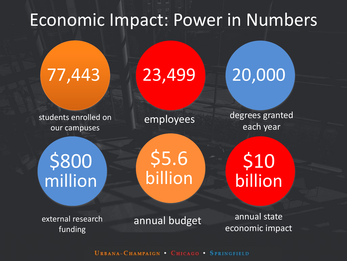### Economic Impact: Power in Numbers

## 77,443 23,499 20,000

students enrolled on our campuses

employees degrees granted each year

\$800 million

\$5.6 billion

\$10 billion

external research funding

annual budget annual state economic impact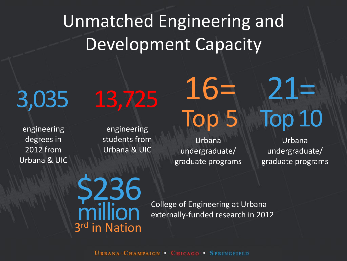Unmatched Engineering and Development Capacity

engineering degrees in 2012 from Urbana & UIC

3,035 13,725 16=

engineering students from Urbana & UIC

Urbana undergraduate/ graduate programs Top 5

# 21= **Top 10**

Urbana undergraduate/ graduate programs

\$236 million 3 rd in Nation

College of Engineering at Urbana externally-funded research in 2012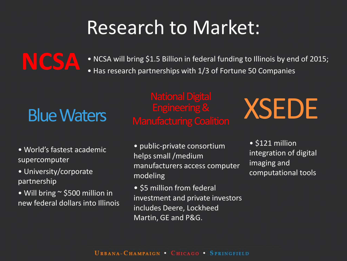### Research to Market:

• NCSA will bring \$1.5 Billion in federal funding to Illinois by end of 2015;

• Has research partnerships with 1/3 of Fortune 50 Companies

- World's fastest academic supercomputer
- University/corporate partnership

**NCSA**

• Will bring ~ \$500 million in new federal dollars into Illinois

# Engineering & XSEDE

- public-private consortium helps small /medium manufacturers access computer modeling
- \$5 million from federal investment and private investors includes Deere, Lockheed Martin, GE and P&G.

• \$121 million integration of digital imaging and computational tools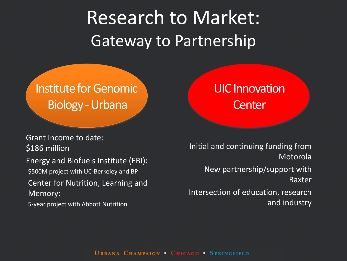Research to Market: Gateway to Partnership

### Institute for Genomic Biology -Urbana

Grant Income to date: \$186 million

Energy and Biofuels Institute (EBI): \$500M project with UC-Berkeley and BP

Center for Nutrition, Learning and Memory:

5-year project with Abbott Nutrition

### UIC Innovation **Center**

Initial and continuing funding from Motorola New partnership/support with Baxter Intersection of education, research and industry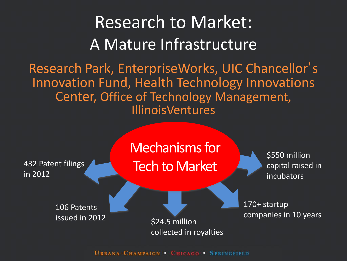### Research to Market: A Mature Infrastructure

Research Park, EnterpriseWorks, UIC Chancellor' s Innovation Fund, Health Technology Innovations Center, Office of Technology Management, **IllinoisVentures** 

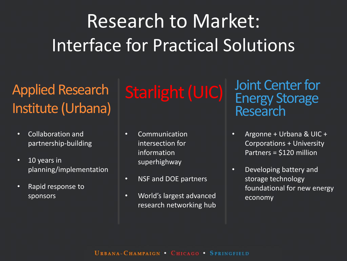### Research to Market: Interface for Practical Solutions

### Applied Research Institute (Urbana)

- Collaboration and partnership-building
- 10 years in planning/implementation
- Rapid response to sponsors

- Communication intersection for information superhighway
- NSF and DOE partners
- World's largest advanced research networking hub

Starlight (UIC) Joint Center for Energy Storage Research

- Argonne + Urbana & UIC + Corporations + University Partners = \$120 million
- Developing battery and storage technology foundational for new energy economy